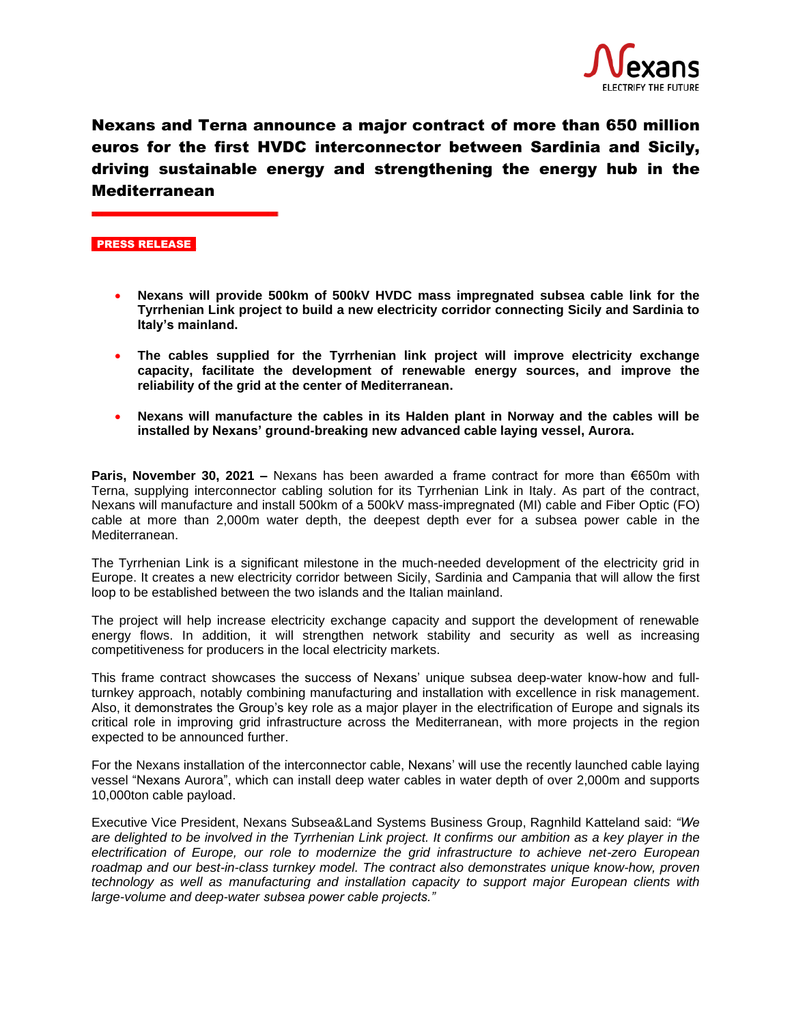

Nexans and Terna announce a major contract of more than 650 million euros for the first HVDC interconnector between Sardinia and Sicily, driving sustainable energy and strengthening the energy hub in the Mediterranean

## PRESS RELEASE

- **Nexans will provide 500km of 500kV HVDC mass impregnated subsea cable link for the Tyrrhenian Link project to build a new electricity corridor connecting Sicily and Sardinia to Italy's mainland.**
- **The cables supplied for the Tyrrhenian link project will improve electricity exchange capacity, facilitate the development of renewable energy sources, and improve the reliability of the grid at the center of Mediterranean.**
- **Nexans will manufacture the cables in its Halden plant in Norway and the cables will be installed by Nexans' ground-breaking new advanced cable laying vessel, Aurora.**

**Paris, November 30, 2021 –** Nexans has been awarded a frame contract for more than €650m with Terna, supplying interconnector cabling solution for its Tyrrhenian Link in Italy. As part of the contract, Nexans will manufacture and install 500km of a 500kV mass-impregnated (MI) cable and Fiber Optic (FO) cable at more than 2,000m water depth, the deepest depth ever for a subsea power cable in the Mediterranean.

The Tyrrhenian Link is a significant milestone in the much-needed development of the electricity grid in Europe. It creates a new electricity corridor between Sicily, Sardinia and Campania that will allow the first loop to be established between the two islands and the Italian mainland.

The project will help increase electricity exchange capacity and support the development of renewable energy flows. In addition, it will strengthen network stability and security as well as increasing competitiveness for producers in the local electricity markets.

This frame contract showcases the success of Nexans' unique subsea deep-water know-how and fullturnkey approach, notably combining manufacturing and installation with excellence in risk management. Also, it demonstrates the Group's key role as a major player in the electrification of Europe and signals its critical role in improving grid infrastructure across the Mediterranean, with more projects in the region expected to be announced further.

For the Nexans installation of the interconnector cable, Nexans' will use the recently launched cable laying vessel "Nexans Aurora", which can install deep water cables in water depth of over 2,000m and supports 10,000ton cable payload.

Executive Vice President, Nexans Subsea&Land Systems Business Group, Ragnhild Katteland said: *"We*  are delighted to be involved in the Tyrrhenian Link project. It confirms our ambition as a key player in the *electrification of Europe, our role to modernize the grid infrastructure to achieve net-zero European roadmap and our best-in-class turnkey model. The contract also demonstrates unique know-how, proven technology as well as manufacturing and installation capacity to support major European clients with large-volume and deep-water subsea power cable projects."*